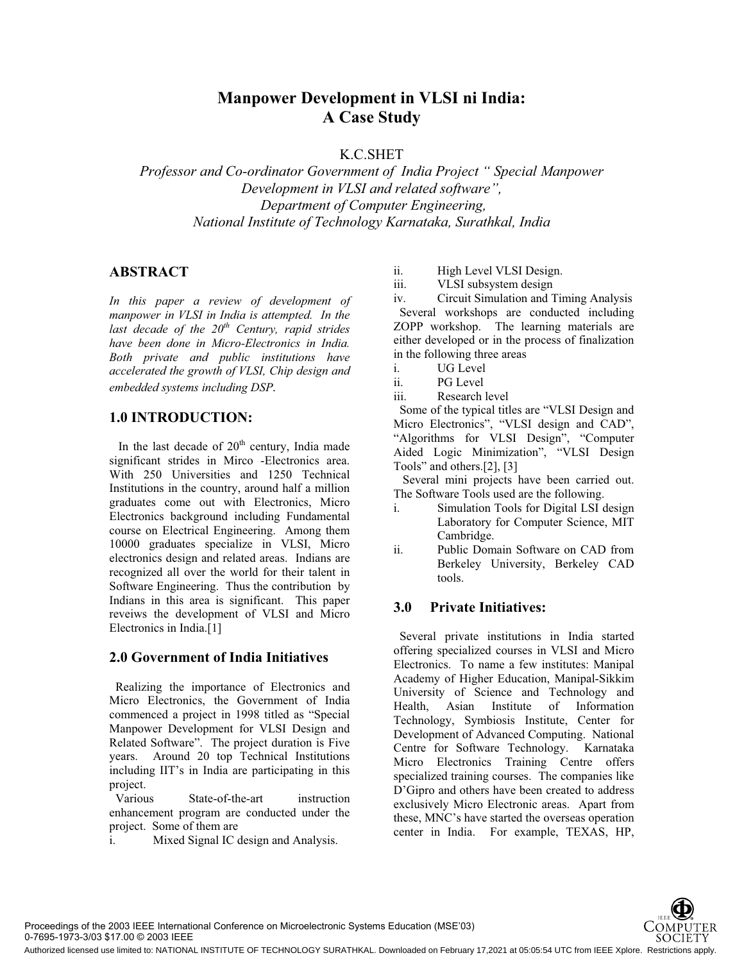# **Manpower Development in VLSI ni India: A Case Study**

K.C.SHET

*Professor and Co-ordinator Government of India Project " Special Manpower Development in VLSI and related software", Department of Computer Engineering, National Institute of Technology Karnataka, Surathkal, India*

## **ABSTRACT**

*In this paper a review of development of manpower in VLSI in India is attempted. In the*  last decade of the 20<sup>th</sup> Century, rapid strides *have been done in Micro-Electronics in India. Both private and public institutions have accelerated the growth of VLSI, Chip design and embedded systems including DSP.*

### **1.0 INTRODUCTION:**

In the last decade of  $20<sup>th</sup>$  century, India made significant strides in Mirco -Electronics area. With 250 Universities and 1250 Technical Institutions in the country, around half a million graduates come out with Electronics, Micro Electronics background including Fundamental course on Electrical Engineering. Among them 10000 graduates specialize in VLSI, Micro electronics design and related areas. Indians are recognized all over the world for their talent in Software Engineering. Thus the contribution by Indians in this area is significant. This paper reveiws the development of VLSI and Micro Electronics in India.[1]

### **2.0 Government of India Initiatives**

 Realizing the importance of Electronics and Micro Electronics, the Government of India commenced a project in 1998 titled as "Special Manpower Development for VLSI Design and Related Software". The project duration is Five years. Around 20 top Technical Institutions including IIT's in India are participating in this project.

 Various State-of-the-art instruction enhancement program are conducted under the project. Some of them are

i. Mixed Signal IC design and Analysis.

ii. High Level VLSI Design.

iii. VLSI subsystem design

iv. Circuit Simulation and Timing Analysis Several workshops are conducted including ZOPP workshop. The learning materials are either developed or in the process of finalization in the following three areas

- i. UG Level
- ii. PG Level
- iii. Research level

 Some of the typical titles are "VLSI Design and Micro Electronics", "VLSI design and CAD", "Algorithms for VLSI Design", "Computer Aided Logic Minimization", "VLSI Design Tools" and others.[2], [3]

 Several mini projects have been carried out. The Software Tools used are the following.

- i. Simulation Tools for Digital LSI design Laboratory for Computer Science, MIT Cambridge.
- ii. Public Domain Software on CAD from Berkeley University, Berkeley CAD tools.

### **3.0 Private Initiatives:**

 Several private institutions in India started offering specialized courses in VLSI and Micro Electronics. To name a few institutes: Manipal Academy of Higher Education, Manipal-Sikkim University of Science and Technology and Health, Asian Institute of Information Technology, Symbiosis Institute, Center for Development of Advanced Computing. National Centre for Software Technology. Karnataka Micro Electronics Training Centre offers specialized training courses. The companies like D'Gipro and others have been created to address exclusively Micro Electronic areas. Apart from these, MNC's have started the overseas operation center in India. For example, TEXAS, HP,